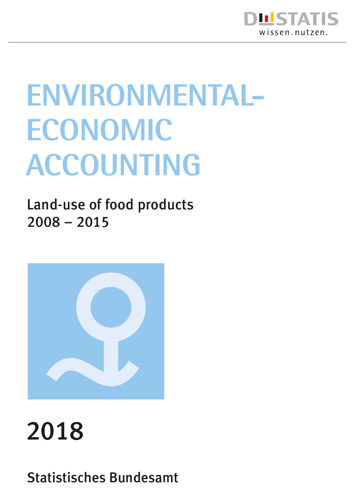

# **Environmental-Economic Accounting**

Land-use of food products 2008 – 2015



# 2018

Statistisches Bundesamt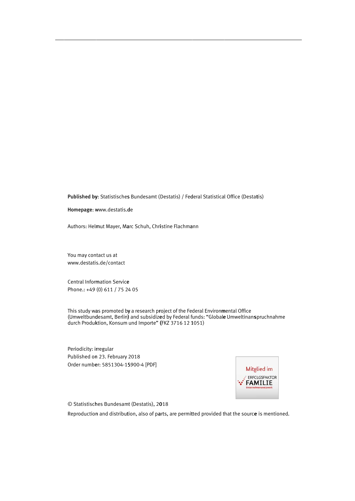Published by: Statistisches Bundesamt (Destatis) / Federal Statistical Office (Destatis)

Homepage: www.destatis.de

Authors: Helmut Mayer, Marc Schuh, Christine Flachmann

You may contact us at www.destatis.de/contact

Central Information Service Phone.: +49 (0) 611 / 75 24 05

This study was promoted by a research project of the Federal Environmental Office (Umweltbundesamt, Berlin) and subsidized by Federal funds: "Globale Umweltinans pruchnahme durch Produktion, Konsum und Importe" (FKZ 3716 12 1051)

Periodicity: irregular Published on 23. February 2018 Order number: 5851304-15900-4 [PDF]



© Statistisches Bundesamt (Destatis), 2018

Reproduction and distribution, also of parts, are permitted provided that the source is mentioned.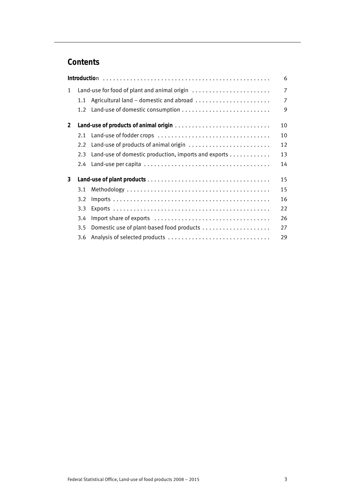# **Contents**

|                |               |                                                      | 6              |
|----------------|---------------|------------------------------------------------------|----------------|
| $\mathbf{1}$   |               | Land-use for food of plant and animal origin         | 7              |
|                | 1.1           | Agricultural land - domestic and abroad              | $\overline{7}$ |
|                | $1.2^{\circ}$ |                                                      | 9              |
| $\overline{2}$ |               |                                                      | 10             |
|                | 2.1           |                                                      | 10             |
|                | 2.2           | Land-use of products of animal origin                | 12             |
|                | 2.3           | Land-use of domestic production, imports and exports | 13             |
|                | $2.4^{\circ}$ |                                                      | 14             |
| 3              |               |                                                      | 15             |
|                | 3.1           |                                                      | 15             |
|                | 3.2           |                                                      | 16             |
|                | 3.3           |                                                      | 22             |
|                | 3.4           |                                                      | 26             |
|                | 3.5           |                                                      | 27             |
|                | 3.6           |                                                      | 29             |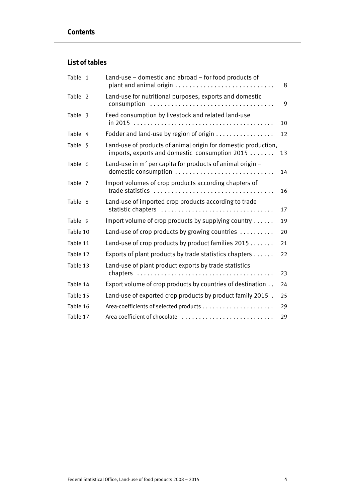### **List of tables**

| Table 1  | Land-use - domestic and abroad - for food products of                                                            | 8  |
|----------|------------------------------------------------------------------------------------------------------------------|----|
| Table 2  | Land-use for nutritional purposes, exports and domestic<br>consumption                                           | 9  |
| Table 3  | Feed consumption by livestock and related land-use                                                               | 10 |
| Table 4  | Fodder and land-use by region of origin                                                                          | 12 |
| Table 5  | Land-use of products of animal origin for domestic production,<br>imports, exports and domestic consumption 2015 | 13 |
| Table 6  | Land-use in $m^2$ per capita for products of animal origin $-$                                                   | 14 |
| Table 7  | Import volumes of crop products according chapters of                                                            | 16 |
| Table 8  | Land-use of imported crop products according to trade<br>statistic chapters                                      | 17 |
| Table 9  | Import volume of crop products by supplying country $\dots$ .                                                    | 19 |
| Table 10 | Land-use of crop products by growing countries                                                                   | 20 |
| Table 11 | Land-use of crop products by product families 2015                                                               | 21 |
| Table 12 | Exports of plant products by trade statistics chapters                                                           | 22 |
| Table 13 | Land-use of plant product exports by trade statistics                                                            | 23 |
| Table 14 | Export volume of crop products by countries of destination                                                       | 24 |
| Table 15 | Land-use of exported crop products by product family 2015.                                                       | 25 |
| Table 16 |                                                                                                                  | 29 |
| Table 17 | Area coefficient of chocolate                                                                                    | 29 |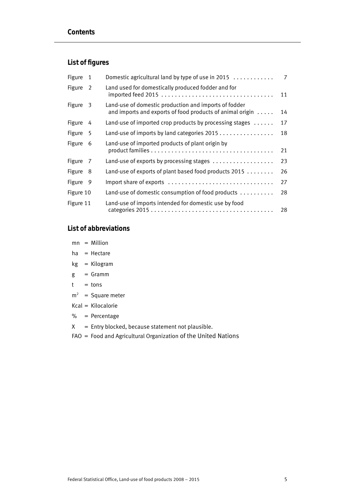### **List of figures**

| Figure    | 1   | Domestic agricultural land by type of use in 2015 $\ldots$                                                         | 7  |
|-----------|-----|--------------------------------------------------------------------------------------------------------------------|----|
| Figure    | 2   | Land used for domestically produced fodder and for<br>imported feed 2015                                           | 11 |
| Figure    | 3   | Land-use of domestic production and imports of fodder<br>and imports and exports of food products of animal origin | 14 |
| Figure    | 4   | Land-use of imported crop products by processing stages $\dots$                                                    | 17 |
| Figure    | - 5 | Land-use of imports by land categories 2015                                                                        | 18 |
| Figure    | 6   | Land-use of imported products of plant origin by                                                                   | 21 |
| Figure 7  |     | Land-use of exports by processing stages                                                                           | 23 |
| Figure    | - 8 | Land-use of exports of plant based food products 2015                                                              | 26 |
| Figure 9  |     | Import share of exports                                                                                            | 27 |
| Figure 10 |     | Land-use of domestic consumption of food products                                                                  | 28 |
| Figure 11 |     | Land-use of imports intended for domestic use by food                                                              | 28 |

#### **List of abbreviations**

- mn = Million
- ha = Hectare
- kg = Kilogram
- $g = Gramm$
- $t = tons$
- $m^2$  = Square meter
- Kcal = Kilocalorie
- % = Percentage
- $X =$  Entry blocked, because statement not plausible.
- FAO = Food and Agricultural Organization of the United Nations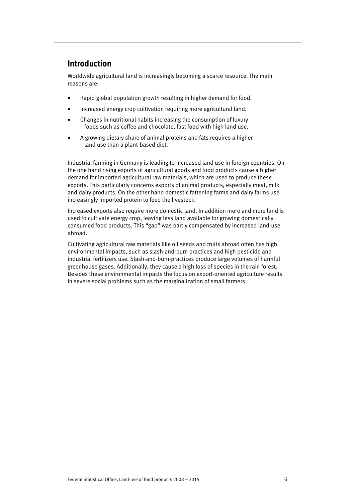# **Introduction**

Worldwide agricultural land is increasingly becoming a scarce resource. The main reasons are:

- Rapid global population growth resulting in higher demand for food.
- Increased energy crop cultivation requiring more agricultural land.
- Changes in nutritional habits increasing the consumption of luxury foods such as coffee and chocolate, fast food with high land use.
- A growing dietary share of animal proteins and fats requires a higher land use than a plant-based diet.

Industrial farming in Germany is leading to increased land use in foreign countries. On the one hand rising exports of agricultural goods and food products cause a higher demand for imported agricultural raw materials, which are used to produce these exports. This particularly concerns exports of animal products, especially meat, milk and dairy products. On the other hand domestic fattening farms and dairy farms use increasingly imported protein to feed the livestock.

Increased exports also require more domestic land. In addition more and more land is used to cultivate energy crop, leaving less land available for growing domestically consumed food products. This "gap" was partly compensated by increased land-use abroad.

Cultivating agricultural raw materials like oil seeds and fruits abroad often has high environmental impacts, such as slash-and-burn practices and high pesticide and industrial fertilizers use. Slash-and-burn-practices produce large volumes of harmful greenhouse gases. Additionally, they cause a high loss of species in the rain forest. Besides these environmental impacts the focus on export-oriented agriculture results in severe social problems such as the marginalization of small farmers.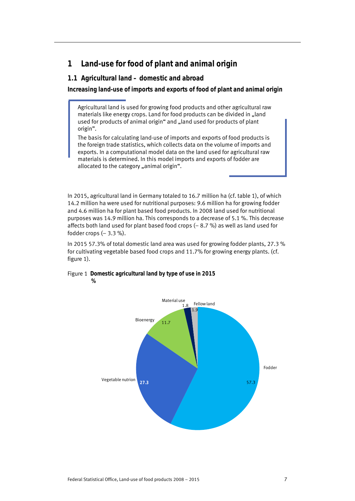# **1 Land-use for food of plant and animal origin**

#### **1.1 Agricultural land – domestic and abroad**

**Increasing land-use of imports and exports of food of plant and animal origin** 

Agricultural land is used for growing food products and other agricultural raw materials like energy crops. Land for food products can be divided in "land used for products of animal origin" and "land used for products of plant origin".

The basis for calculating land-use of imports and exports of food products is the foreign trade statistics, which collects data on the volume of imports and exports. In a computational model data on the land used for agricultural raw materials is determined. In this model imports and exports of fodder are allocated to the category "animal origin".

In 2015, agricultural land in Germany totaled to 16.7 million ha (cf. table 1), of which 14.2 million ha were used for nutritional purposes: 9.6 million ha for growing fodder and 4.6 million ha for plant based food products. In 2008 land used for nutritional purposes was 14.9 million ha. This corresponds to a decrease of 5.1 %. This decrease affects both land used for plant based food crops (– 8.7 %) as well as land used for fodder crops  $(-3.3\%)$ .

In 2015 57.3% of total domestic land area was used for growing fodder plants, 27.3 % for cultivating vegetable based food crops and 11.7% for growing energy plants. (cf. figure 1).

#### Figure 1 **Domestic agricultural land by type of use in 2015 %**

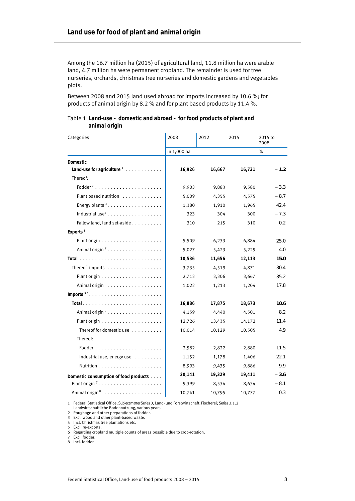Among the 16.7 million ha (2015) of agricultural land, 11.8 million ha were arable land, 4.7 million ha were permanent cropland. The remainder is used for tree nurseries, orchards, christmas tree nurseries and domestic gardens and vegetables plots.

Between 2008 and 2015 land used abroad for imports increased by 10.6 %; for products of animal origin by 8.2 % and for plant based products by 11.4 %.

#### Table 1 **Land-use – domestic and abroad – for food products of plant and animal origin**

| Categories                                               | 2008        | 2012   | 2015   | 2015 to<br>2008 |
|----------------------------------------------------------|-------------|--------|--------|-----------------|
|                                                          | in 1,000 ha |        |        | $\%$            |
| Domestic                                                 |             |        |        |                 |
| Land-use for agriculture <sup>1</sup>                    | 16,926      | 16,667 | 16,731 | $-1.2$          |
| Thereof:                                                 |             |        |        |                 |
| Fodder <sup>2</sup>                                      | 9,903       | 9,883  | 9,580  | $-3.3$          |
| Plant based nutrition                                    | 5,009       | 4,355  | 4,575  | $-8.7$          |
| Energy plants <sup>3</sup>                               | 1,380       | 1,910  | 1,965  | 42.4            |
|                                                          | 323         | 304    | 300    | $-7.3$          |
| Fallow land, land set-aside                              | 310         | 215    | 310    | 0.2             |
| Exports <sup>5</sup>                                     |             |        |        |                 |
| Plant origin $\ldots \ldots \ldots \ldots \ldots \ldots$ | 5,509       | 6,233  | 6,884  | 25.0            |
| Animal origin <sup>7</sup>                               | 5,027       | 5,423  | 5,229  | 4.0             |
|                                                          | 10,536      | 11,656 | 12,113 | 15.0            |
| Thereof imports                                          | 3,735       | 4,519  | 4,871  | 30.4            |
| Plant origin $\ldots \ldots \ldots \ldots \ldots \ldots$ | 2,713       | 3,306  | 3,667  | 35.2            |
|                                                          | 1,022       | 1,213  | 1,204  | 17.8            |
| Imports $56$                                             |             |        |        |                 |
|                                                          | 16,886      | 17,875 | 18,673 | 10.6            |
| Animal origin <sup>7</sup>                               | 4,159       | 4,440  | 4,501  | 8.2             |
|                                                          | 12,726      | 13,435 | 14,172 | 11.4            |
| Thereof for domestic use                                 | 10,014      | 10,129 | 10,505 | 4.9             |
| Thereof:                                                 |             |        |        |                 |
|                                                          | 2,582       | 2,822  | 2,880  | 11.5            |
| Industrial use, energy use $\dots\dots\dots$             | 1,152       | 1,178  | 1,406  | 22.1            |
|                                                          | 8,993       | 9,435  | 9,886  | 9.9             |
| Domestic consumption of food products                    | 20,141      | 19,329 | 19,411 | $-3.6$          |
| Plant origin <sup>7</sup>                                | 9,399       | 8,534  | 8,634  | $-8.1$          |
|                                                          | 10,741      | 10,795 | 10,777 | 0.3             |

1 Federal Statistical Office, Subject matter Series3, Land- und Forstwirtschaft, Fischerei; Series3.1.2

Landwirtschaftliche Bodennutzung, various years.

7 Excl. fodder.

8 Incl. fodder.

<sup>2</sup> Roughage and other preparations of fodder.

<sup>3</sup> Excl. wood and other plant-based waste. 4 Incl. Christmas tree plantations etc.

<sup>5</sup> Excl. re-exports.

<sup>6</sup> Regarding cropland multiple counts of areas possible due to crop-rotation.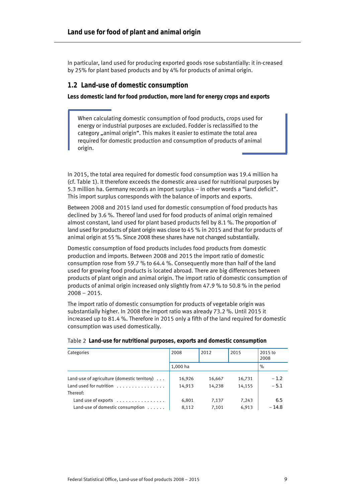In particular, land used for producing exported goods rose substantially: it in-creased by 25% for plant based products and by 4% for products of animal origin.

#### **1.2 Land-use of domestic consumption**

**Less domestic land for food production, more land for energy crops and exports** 

When calculating domestic consumption of food products, crops used for energy or industrial purposes are excluded. Fodder is reclassified to the category "animal origin". This makes it easier to estimate the total area required for domestic production and consumption of products of animal origin.

In 2015, the total area required for domestic food consumption was 19.4 million ha (cf. Table 1). It therefore exceeds the domestic area used for nutritional purposes by 5.3 million ha. Germany records an import surplus – in other words a "land deficit". This import surplus corresponds with the balance of imports and exports.

Between 2008 and 2015 land used for domestic consumption of food products has declined by 3.6 %. Thereof land used for food products of animal origin remained almost constant, land used for plant based products fell by 8.1 %. The proportion of land used for products of plant origin was close to 45 % in 2015 and that for products of animal origin at 55 %. Since 2008 these shares have not changed substantially.

Domestic consumption of food products includes food products from domestic production and imports. Between 2008 and 2015 the import ratio of domestic consumption rose from 59.7 % to 64.4 %. Consequently more than half of the land used for growing food products is located abroad. There are big differences between products of plant origin and animal origin. The import ratio of domestic consumption of products of animal origin increased only slightly from 47.9 % to 50.8 % in the period 2008 – 2015.

The import ratio of domestic consumption for products of vegetable origin was substantially higher. In 2008 the import ratio was already 73.2 %. Until 2015 it increased up to 81.4 %. Therefore in 2015 only a fifth of the land required for domestic consumption was used domestically.

| Categories                                                                      | 2008             | 2012             | 2015             | 2015 to<br>2008  |
|---------------------------------------------------------------------------------|------------------|------------------|------------------|------------------|
|                                                                                 | 1,000 ha         |                  |                  | $\%$             |
| Land-use of agriculture (domestic territory) $\dots$<br>Land used for nutrition | 16,926<br>14,913 | 16,667<br>14.238 | 16,731<br>14,155 | $-1.2$<br>$-5.1$ |
| Thereof:                                                                        |                  |                  |                  |                  |
| Land use of exports $\dots\dots\dots\dots\dots$                                 | 6,801            | 7,137            | 7,243            | 6.5              |
| Land-use of domestic consumption                                                | 8,112            | 7.101            | 6.913            | $-14.8$          |

#### Table 2 **Land-use for nutritional purposes, exports and domestic consumption**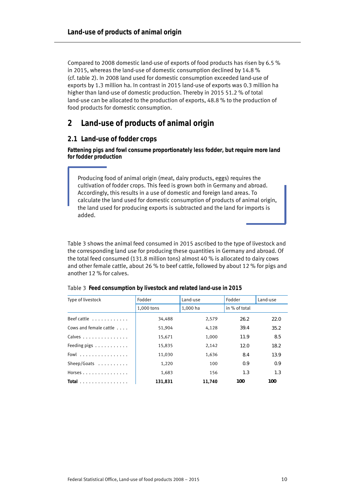Compared to 2008 domestic land-use of exports of food products has risen by 6.5 % in 2015, whereas the land-use of domestic consumption declined by 14.8 % (cf. table 2). In 2008 land used for domestic consumption exceeded land-use of exports by 1.3 million ha. In contrast in 2015 land-use of exports was 0.3 million ha higher than land-use of domestic production. Thereby in 2015 51.2 % of total land-use can be allocated to the production of exports, 48.8 % to the production of food products for domestic consumption.

## **2 Land-use of products of animal origin**

#### **2.1 Land-use of fodder crops**

**Fattening pigs and fowl consume proportionately less fodder, but require more land for fodder production** 

Producing food of animal origin (meat, dairy products, eggs) requires the cultivation of fodder crops. This feed is grown both in Germany and abroad. Accordingly, this results in a use of domestic and foreign land areas. To calculate the land used for domestic consumption of products of animal origin, the land used for producing exports is subtracted and the land for imports is added.

Table 3 shows the animal feed consumed in 2015 ascribed to the type of livestock and the corresponding land use for producing these quantities in Germany and abroad. Of the total feed consumed (131.8 million tons) almost 40 % is allocated to dairy cows and other female cattle, about 26 % to beef cattle, followed by about 12 % for pigs and another 12 % for calves.

| Type of livestock                              | Fodder     | Land-use | Fodder        | Land-use |
|------------------------------------------------|------------|----------|---------------|----------|
|                                                | 1,000 tons | 1.000 ha | in % of total |          |
| Beef cattle $\dots\dots\dots\dots$             | 34,488     | 2,579    | 26.2          | 22.0     |
| Cows and female cattle                         | 51,904     | 4,128    | 39.4          | 35.2     |
| Calves                                         | 15,671     | 1,000    | 11.9          | 8.5      |
| Feeding pigs $\dots \dots \dots$               | 15,835     | 2,142    | 12.0          | 18.2     |
| Fowl $\ldots$ , $\ldots$ , $\ldots$ , $\ldots$ | 11,030     | 1,636    | 8.4           | 13.9     |
| Sheep/Goats                                    | 1,220      | 100      | 0.9           | 0.9      |
| Horses                                         | 1,683      | 156      | 1.3           | 1.3      |
| Total $\ldots \ldots \ldots \ldots$            | 131.831    | 11.740   | 100           | 100      |

Table 3 **Feed consumption by livestock and related land-use in 2015**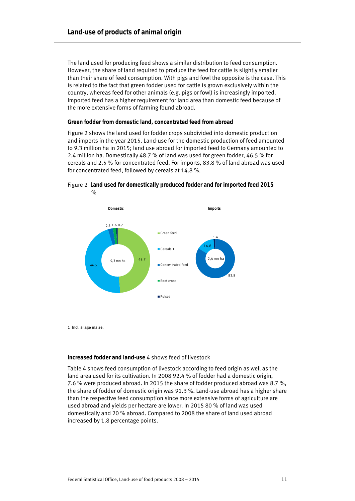The land used for producing feed shows a similar distribution to feed consumption. However, the share of land required to produce the feed for cattle is slightly smaller than their share of feed consumption. With pigs and fowl the opposite is the case. This is related to the fact that green fodder used for cattle is grown exclusively within the country, whereas feed for other animals (e.g. pigs or fowl) is increasingly imported. Imported feed has a higher requirement for land area than domestic feed because of the more extensive forms of farming found abroad.

#### **Green fodder from domestic land, concentrated feed from abroad**

Figure 2 shows the land used for fodder crops subdivided into domestic production and imports in the year 2015. Land-use for the domestic production of feed amounted to 9.3 million ha in 2015; land use abroad for imported feed to Germany amounted to 2.4 million ha. Domestically 48.7 % of land was used for green fodder, 46.5 % for cereals and 2.5 % for concentrated feed. For imports, 83.8 % of land abroad was used for concentrated feed, followed by cereals at 14.8 %.



Figure 2 **Land used for domestically produced fodder and for imported feed 2015**   $\frac{1}{2}$ 

1 Incl. silage maize.

#### **Increased fodder and land-use** 4 shows feed of livestock

Table 4 shows feed consumption of livestock according to feed origin as well as the land area used for its cultivation. In 2008 92.4 % of fodder had a domestic origin, 7.6 % were produced abroad. In 2015 the share of fodder produced abroad was 8.7 %, the share of fodder of domestic origin was 91.3 %. Land-use abroad has a higher share than the respective feed consumption since more extensive forms of agriculture are used abroad and yields per hectare are lower. In 2015 80 % of land was used domestically and 20 % abroad. Compared to 2008 the share of land used abroad increased by 1.8 percentage points.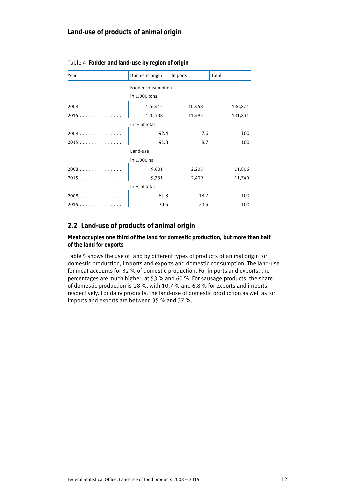| Year | Domestic origin    | Imports | Total      |
|------|--------------------|---------|------------|
|      | Fodder consumption |         |            |
|      | in 1,000 tons      |         |            |
| 2008 | 126,413            | 10,458  | 136,871    |
| 2015 | 120,338            | 11,493  | 131,831    |
|      | in % of total      |         |            |
| 2008 | 92.4               | 7.6     | <i>100</i> |
| 2015 | 91.3               | 8.7     | 100        |
|      | Land-use           |         |            |
|      | in 1,000 ha        |         |            |
| 2008 | 9,601              | 2,205   | 11,806     |
| 2015 | 9,331              | 2,409   | 11,740     |
|      | in % of total      |         |            |
| 2008 | 81.3               | 18.7    | 100        |
| 2015 | 79.5               | 20.5    | 100        |

Table 4 **Fodder and land-use by region of origin** 

#### **2.2 Land-use of products of animal origin**

**Meat occupies one third of the land for domestic production, but more than half of the land for exports** 

Table 5 shows the use of land by different types of products of animal origin for domestic production, imports and exports and domestic consumption. The land-use for meat accounts for 32 % of domestic production. For imports and exports, the percentages are much higher: at 53 % and 60 %. For sausage products, the share of domestic production is 28 %, with 10.7 % and 6.8 % for exports and imports respectively. For dairy products, the land-use of domestic production as well as for imports and exports are between 35 % and 37 %.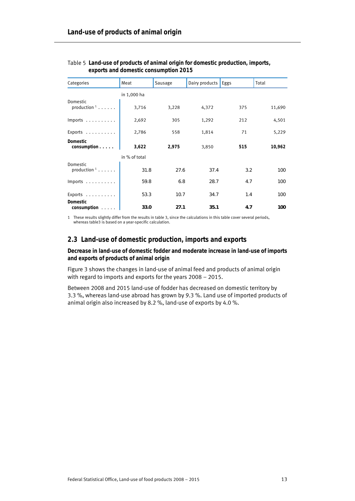| Categories                                   | Meat          | Sausage | Dairy products | Eggs | Total  |
|----------------------------------------------|---------------|---------|----------------|------|--------|
|                                              | in 1,000 ha   |         |                |      |        |
| Domestic<br>production $1 \ldots \ldots$     | 3,716         | 3,228   | 4,372          | 375  | 11,690 |
| Imports $\dots\dots\dots$                    | 2,692         | 305     | 1,292          | 212  | 4,501  |
| Exports                                      | 2,786         | 558     | 1,814          | 71   | 5,229  |
| Domestic<br>consumption                      | 3,622         | 2,975   | 3,850          | 515  | 10,962 |
|                                              | in % of total |         |                |      |        |
| Domestic<br>production $1 \ldots \ldots$     | 31.8          | 27.6    | 37.4           | 3.2  | 100    |
| Imports $\dots\dots\dots$                    | 59.8          | 6.8     | 28.7           | 4.7  | 100    |
| Exports $\dots\dots\dots$<br><b>Domestic</b> | 53.3          | 10.7    | 34.7           | 1.4  | 100    |
| $consumption$                                | 33.0          | 27.1    | 35.1           | 4.7  | 100    |

Table 5 **Land-use of products of animal origin for domestic production, imports, exports and domestic consumption 2015** 

1 These results slightly differ from the results in table 3, since the calculations in this table cover several periods, whereas table3 is based on a year-specific calculation.

#### **2.3 Land-use of domestic production, imports and exports**

**Decrease in land-use of domestic fodder and moderate increase in land-use of imports and exports of products of animal origin** 

Figure 3 shows the changes in land-use of animal feed and products of animal origin with regard to imports and exports for the years 2008 – 2015.

Between 2008 and 2015 land-use of fodder has decreased on domestic territory by 3.3 %, whereas land-use abroad has grown by 9.3 %. Land use of imported products of animal origin also increased by 8.2 %, land-use of exports by 4.0 %.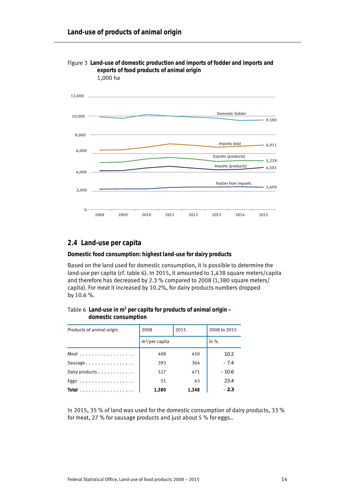

#### Figure 3 **Land-use of domestic production and imports of fodder and imports and exports of food products of animal origin**  1,000 ha

#### **2.4 Land-use per capita**

#### **Domestic food consumption: highest land-use for dairy products**

Based on the land used for domestic consumption, it is possible to determine the land-use per capita (cf. table 6). In 2015, it amounted to 1,438 square meters/capita and therefore has decreased by 2.3 % compared to 2008 (1,380 square meters/ capita). For meat it increased by 10.2%, for dairy products numbers dropped by 10.6 %.

#### Table 6 Land-use in m<sup>2</sup> per capita for products of animal origin – **domestic consumption**

| Products of animal origin                  | 2015<br>2008      |       | 2008 to 2015 |  |
|--------------------------------------------|-------------------|-------|--------------|--|
|                                            | $m^2$ /per capita |       | in $%$       |  |
| Meat                                       | 408               | 450   | 10.2         |  |
| Sausage                                    | 393               | 364   | $-7.4$       |  |
| Dairy products                             | 527               | 471   | $-10.6$      |  |
| Eggs                                       | 51                | 63    | 23.4         |  |
| Total $\ldots \ldots \ldots \ldots \ldots$ | 1,380             | 1,348 | $-2.3$       |  |

In 2015, 35 % of land was used for the domestic consumption of dairy products, 33 % for meat, 27 % for sausage products and just about 5 % for eggs..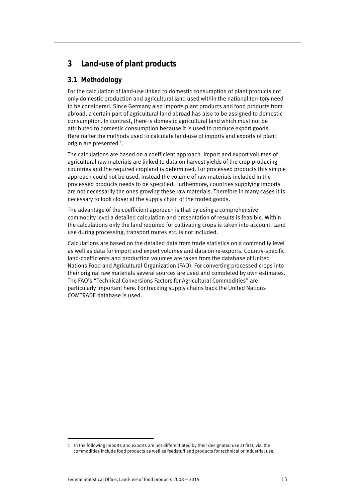# **3 Land-use of plant products**

### **3.1 Methodology**

For the calculation of land-use linked to domestic consumption of plant products not only domestic production and agricultural land used within the national territory need to be considered. Since Germany also imports plant products and food products from abroad, a certain part of agricultural land abroad has also to be assigned to domestic consumption. In contrast, there is domestic agricultural land which must not be attributed to domestic consumption because it is used to produce export goods. Hereinafter the methods used to calculate land-use of imports and exports of plant origin are presented  $^1$ .

The calculations are based on a coefficient approach. Import and export volumes of agricultural raw materials are linked to data on harvest yields of the crop-producing countries and the required cropland is determined. For processed products this simple approach could not be used. Instead the volume of raw materials included in the processed products needs to be specified. Furthermore, countries supplying imports are not necessarily the ones growing these raw materials. Therefore in many cases it is necessary to look closer at the supply chain of the traded goods.

The advantage of the coefficient approach is that by using a comprehensive commodity level a detailed calculation and presentation of results is feasible. Within the calculations only the land required for cultivating crops is taken into account. Land use during processing, transport routes etc. is not included.

Calculations are based on the detailed data from trade statistics on a commodity level as well as data for import and export volumes and data on re-exports. Country-specific land-coefficients and production volumes are taken from the database of United Nations Food and Agricultural Organization (FAO). For converting processed crops into their original raw materials several sources are used and completed by own estimates. The FAO's "Technical Conversions Factors for Agricultural Commodities" are particularly important here. For tracking supply chains back the United Nations COMTRADE database is used.

j 1 In the following imports and exports are not differentiated by their designated use at first, viz. the commodities include food products as well as feedstuff and products for technical or industrial use.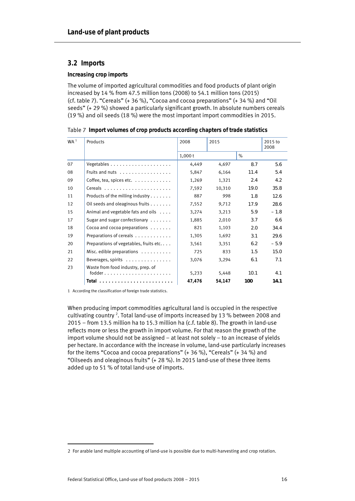#### **3.2 Imports**

#### **Increasing crop imports**

The volume of imported agricultural commodities and food products of plant origin increased by 14 % from 47.5 million tons (2008) to 54.1 million tons (2015) (cf. table 7). "Cereals" (+ 36 %), "Cocoa and cocoa preparations" (+ 34 %) and "Oil seeds" (+ 29 %) showed a particularly significant growth. In absolute numbers cereals (19 %) and oil seeds (18 %) were the most important import commodities in 2015.

| WA <sup>1</sup> | Products                                        | 2008   | 2015   |      | 2015 to<br>2008 |
|-----------------|-------------------------------------------------|--------|--------|------|-----------------|
|                 |                                                 | 1,000t |        | $\%$ |                 |
| 07              | Vegetables $\ldots \ldots \ldots \ldots \ldots$ | 4,449  | 4,697  | 8.7  | 5.6             |
| 08              | Fruits and nuts $\ldots$                        | 5,847  | 6,164  | 11.4 | 5.4             |
| 09              | Coffee, tea, spices etc.                        | 1,269  | 1,321  | 2.4  | 4.2             |
| 10              |                                                 | 7,592  | 10,310 | 19.0 | 35.8            |
| 11              | Products of the milling industry                | 887    | 998    | 1.8  | 12.6            |
| 12              | Oil seeds and oleaginous fruits                 | 7,552  | 9,712  | 17.9 | 28.6            |
| 15              | Animal and vegetable fats and oils              | 3,274  | 3,213  | 5.9  | $-1.8$          |
| 17              | Sugar and sugar confectionary $\dots \dots$     | 1,885  | 2,010  | 3.7  | 6.6             |
| 18              | Cocoa and cocoa preparations                    | 821    | 1,103  | 2.0  | 34.4            |
| 19              | Preparations of cereals                         | 1,305  | 1,692  | 3.1  | 29.6            |
| 20              | Preparations of vegetables, fruits etc          | 3,561  | 3,351  | 6.2  | $-5.9$          |
| 21              | Misc. edible preparations $\dots\dots\dots$     | 725    | 833    | 1.5  | 15.0            |
| 22              | Beverages, spirits                              | 3,076  | 3,294  | 6.1  | 7.1             |
| 23              | Waste from food industry, prep. of<br>$f$ odder | 5,233  | 5,448  | 10.1 | 4.1             |
|                 |                                                 | 47,476 | 54,147 | 100  | 14.1            |

Table 7 **Import volumes of crop products according chapters of trade statistics** 

1 According the classification of foreign trade statistics.

When producing import commodities agricultural land is occupied in the respective cultivating country <sup>2</sup>. Total land-use of imports increased by 13 % between 2008 and 2015 – from 13.5 million ha to 15.3 million ha (c.f. table 8). The growth in land-use reflects more or less the growth in import volume. For that reason the growth of the import volume should not be assigned – at least not solely – to an increase of yields per hectare. In accordance with the increase in volume, land-use particularly increases for the items "Cocoa and cocoa preparations" (+ 36 %), "Cereals" (+ 34 %) and "Oilseeds and oleaginous fruits" (+ 28 %). In 2015 land-use of these three items added up to 51 % of total land-use of imports.

j 2 For arable land multiple accounting of land-use is possible due to multi-harvesting and crop rotation.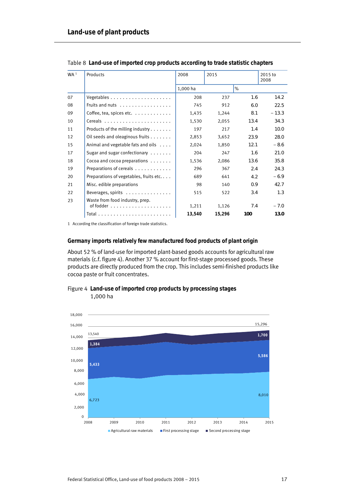| WA <sup>1</sup> | Products                                                                          | 2008     | 2015   |      | 2015 to<br>2008 |
|-----------------|-----------------------------------------------------------------------------------|----------|--------|------|-----------------|
|                 |                                                                                   | 1,000 ha |        | $\%$ |                 |
| 07              |                                                                                   | 208      | 237    | 1.6  | 14.2            |
| 08              | Fruits and nuts                                                                   | 745      | 912    | 6.0  | 22.5            |
| 09              | Coffee, tea, spices etc. $\ldots$                                                 | 1,435    | 1,244  | 8.1  | $-13.3$         |
| 10              |                                                                                   | 1,530    | 2,055  | 13.4 | 34.3            |
| 11              | Products of the milling industry $\dots$                                          | 197      | 217    | 1.4  | 10.0            |
| 12              | Oil seeds and oleaginous fruits                                                   | 2,853    | 3,652  | 23.9 | 28.0            |
| 15              | Animal and vegetable fats and oils                                                | 2,024    | 1,850  | 12.1 | $-8.6$          |
| 17              | Sugar and sugar confectionary $\dots \dots$                                       | 204      | 247    | 1.6  | 21.0            |
| 18              | Cocoa and cocoa preparations $\dots\dots$                                         | 1,536    | 2,086  | 13.6 | 35.8            |
| 19              | Preparations of cereals                                                           | 296      | 367    | 2.4  | 24.3            |
| 20              | Preparations of vegetables, fruits etc                                            | 689      | 641    | 4.2  | $-6.9$          |
| 21              | Misc. edible preparations                                                         | 98       | 140    | 0.9  | 42.7            |
| 22              | Beverages, spirits                                                                | 515      | 522    | 3.4  | 1.3             |
| 23              | Waste from food industry, prep.<br>of fodder $\ldots \ldots \ldots \ldots \ldots$ | 1,211    | 1,126  | 7.4  | $-7.0$          |
|                 |                                                                                   | 13,540   | 15,296 | 100  | 13.0            |

Table 8 **Land-use of imported crop products according to trade statistic chapters** 

1 According the classification of foreign trade statistics.

#### **Germany imports relatively few manufactured food products of plant origin**

About 52 % of land-use for imported plant-based goods accounts for agricultural raw materials (c.f. figure 4). Another 37 % account for first-stage processed goods. These products are directly produced from the crop. This includes semi-finished products like cocoa paste or fruit concentrates.



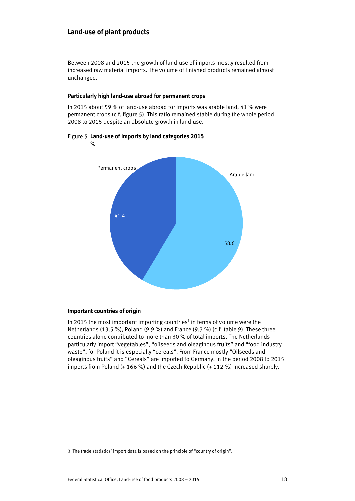Between 2008 and 2015 the growth of land-use of imports mostly resulted from increased raw material imports. The volume of finished products remained almost unchanged.

#### **Particularly high land-use abroad for permanent crops**

In 2015 about 59 % of land-use abroad for imports was arable land, 41 % were permanent crops (c.f. figure 5). This ratio remained stable during the whole period 2008 to 2015 despite an absolute growth in land-use.

# 58.6 41.4 Arable land Permanent crops  $\frac{9}{6}$

#### Figure 5 **Land-use of imports by land categories 2015**

#### **Important countries of origin**

In 2015 the most important importing countries<sup>3</sup> in terms of volume were the Netherlands (13.5 %), Poland (9.9 %) and France (9.3 %) (c.f. table 9). These three countries alone contributed to more than 30 % of total imports. The Netherlands particularly import "vegetables", "oilseeds and oleaginous fruits" and "food industry waste", for Poland it is especially "cereals". From France mostly "Oilseeds and oleaginous fruits" and "Cereals" are imported to Germany. In the period 2008 to 2015 imports from Poland (+ 166 %) and the Czech Republic (+ 112 %) increased sharply.

j 3 The trade statistics' import data is based on the principle of "country of origin".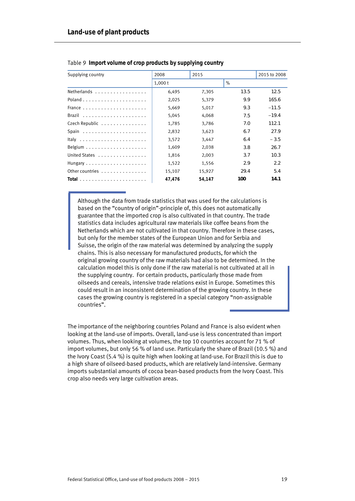| Supplying country | 2008   | 2015   |       | 2015 to 2008 |
|-------------------|--------|--------|-------|--------------|
|                   | 1,000t |        | $\%$  |              |
| Netherlands       | 6,495  | 7,305  | 1.3.5 | 12.5         |
|                   | 2,025  | 5,379  | 9.9   | 165.6        |
|                   | 5,669  | 5,017  | 9.3   | $-11.5$      |
|                   | 5,045  | 4,068  | 7.5   | $-19.4$      |
| Czech Republic    | 1,785  | 3,786  | 7.0   | 112.1        |
|                   | 2,832  | 3,623  | 6.7   | 27.9         |
|                   | 3,572  | 3,447  | 6.4   | $-3.5$       |
|                   | 1,609  | 2,038  | 3.8   | 26.7         |
| United States     | 1,816  | 2,003  | 3.7   | 10.3         |
|                   | 1,522  | 1,556  | 2.9   | 2.2          |
| Other countries   | 15,107 | 15,927 | 29.4  | 5.4          |
|                   | 47,476 | 54.147 | 100   | 14.1         |

#### Table 9 **Import volume of crop products by supplying country**

Although the data from trade statistics that was used for the calculations is based on the "country of origin"-principle of, this does not automatically guarantee that the imported crop is also cultivated in that country. The trade statistics data includes agricultural raw materials like coffee beans from the Netherlands which are not cultivated in that country. Therefore in these cases, but only for the member states of the European Union and for Serbia and Suisse, the origin of the raw material was determined by analyzing the supply chains. This is also necessary for manufactured products, for which the original growing country of the raw materials had also to be determined. In the calculation model this is only done if the raw material is not cultivated at all in the supplying country. For certain products, particularly those made from oilseeds and cereals, intensive trade relations exist in Europe. Sometimes this could result in an inconsistent determination of the growing country. In these cases the growing country is registered in a special category "non-assignable countries".

The importance of the neighboring countries Poland and France is also evident when looking at the land-use of imports. Overall, land-use is less concentrated than import volumes. Thus, when looking at volumes, the top 10 countries account for 71 % of import volumes, but only 56 % of land use. Particularly the share of Brazil (10.5 %) and the Ivory Coast (5.4 %) is quite high when looking at land-use. For Brazil this is due to a high share of oilseed-based products, which are relatively land-intensive. Germany imports substantial amounts of cocoa bean-based products from the Ivory Coast. This crop also needs very large cultivation areas.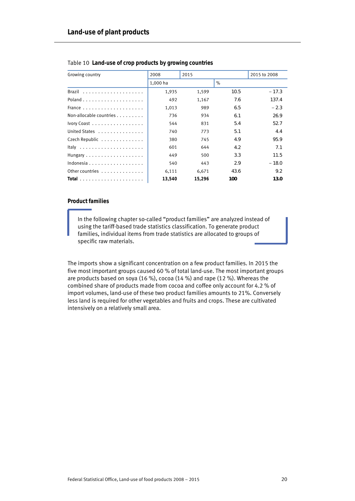| Growing country                               | 2008     | 2015   |      | 2015 to 2008 |
|-----------------------------------------------|----------|--------|------|--------------|
|                                               |          |        |      |              |
|                                               | 1.000 ha |        | $\%$ |              |
|                                               | 1,935    | 1,599  | 10.5 | $-17.3$      |
|                                               | 492      | 1,167  | 7.6  | 137.4        |
|                                               | 1,013    | 989    | 6.5  | $-2.3$       |
| Non-allocable countries $\ldots$ ,            | 736      | 934    | 6.1  | 26.9         |
| Ivory Coast                                   | 544      | 831    | 5.4  | 52.7         |
| United States                                 | 740      | 773    | 5.1  | 4.4          |
| Czech Republic                                | 380      | 745    | 4.9  | 95.9         |
|                                               | 601      | 644    | 4.2  | 7.1          |
| Hungary $\dots \dots \dots \dots \dots \dots$ | 449      | 500    | 3.3  | 11.5         |
| Indonesia                                     | 540      | 443    | 2.9  | $-18.0$      |
| Other countries                               | 6,111    | 6,671  | 43.6 | 9.2          |
|                                               | 13,540   | 15,296 | 100  | 13.0         |

#### Table 10 **Land-use of crop products by growing countries**

#### **Product families**

In the following chapter so-called "product families" are analyzed instead of using the tariff-based trade statistics classification. To generate product families, individual items from trade statistics are allocated to groups of specific raw materials.

The imports show a significant concentration on a few product families. In 2015 the five most important groups caused 60 % of total land-use. The most important groups are products based on soya (16 %), cocoa (14 %) and rape (12 %). Whereas the combined share of products made from cocoa and coffee only account for 4.2 % of import volumes, land-use of these two product families amounts to 21%. Conversely less land is required for other vegetables and fruits and crops. These are cultivated intensively on a relatively small area.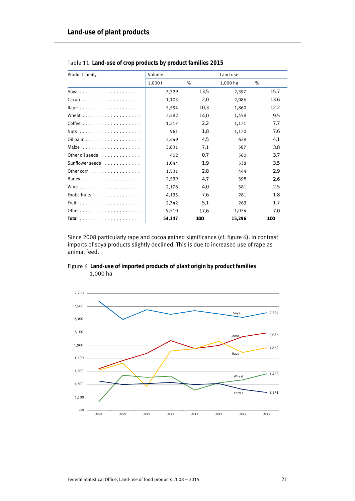| Product family                                             | Volume |      | Land use |      |
|------------------------------------------------------------|--------|------|----------|------|
|                                                            | 1,000t | $\%$ | 1,000 ha | $\%$ |
| Soya                                                       | 7,329  | 13,5 | 2,397    | 15.7 |
| $Cacao$                                                    | 1,103  | 2,0  | 2,086    | 13.6 |
|                                                            | 5,594  | 10,3 | 1,860    | 12.2 |
|                                                            | 7,582  | 14,0 | 1,458    | 9.5  |
|                                                            | 1,217  | 2,2  | 1,171    | 7.7  |
|                                                            | 961    | 1,8  | 1,170    | 7.6  |
| Oil palm $\ldots \ldots \ldots \ldots \ldots$              | 2,449  | 4,5  | 628      | 4.1  |
|                                                            | 3,831  | 7,1  | 587      | 3.8  |
| Other oil seeds $\ldots$                                   | 402    | 0,7  | 560      | 3.7  |
| Sunflower seeds                                            | 1,044  | 1, 9 | 538      | 3.5  |
| Other corn $\dots$ , $\dots$ , $\dots$ , $\dots$ , $\dots$ | 1,531  | 2,8  | 444      | 2.9  |
|                                                            | 2,539  | 4,7  | 398      | 2.6  |
| Wine $\ldots$ ,                                            | 2,178  | 4,0  | 381      | 2.5  |
| Exotic fruits $\ldots \ldots \ldots \ldots$                | 4,135  | 7.6  | 281      | 7.8  |
|                                                            | 2,742  | 5,1  | 263      | 1.7  |
|                                                            | 9,510  | 17,6 | 1,074    | 7.0  |
|                                                            | 54,147 | 100  | 15,296   | 100  |

 Table 11 **Land-use of crop products by product families 2015** 

Since 2008 particularly rape and cocoa gained significance (cf. figure 6). In contrast imports of soya products slightly declined. This is due to increased use of rape as animal feed.



Figure 6 **Land-use of imported products of plant origin by product families**  1,000 ha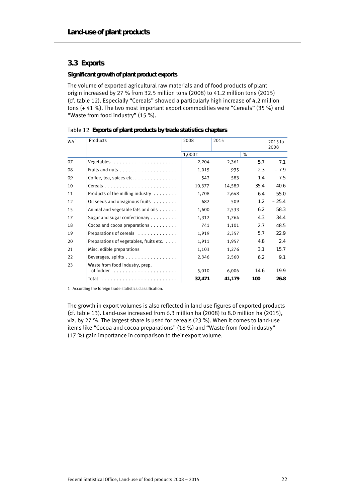#### **3.3 Exports**

#### **Significant growth of plant product exports**

The volume of exported agricultural raw materials and of food products of plant origin increased by 27 % from 32.5 million tons (2008) to 41.2 million tons (2015) (cf. table 12). Especially "Cereals" showed a particularly high increase of 4.2 million tons (+ 41 %). The two most important export commodities were "Cereals" (35 %) and "Waste from food industry" (15 %).

|  |  | Table 12 Exports of plant products by trade statistics chapters |  |
|--|--|-----------------------------------------------------------------|--|
|  |  |                                                                 |  |

| WA <sup>1</sup> | Products                                                 | 2008   | 2015   |      | 2015 to<br>2008 |
|-----------------|----------------------------------------------------------|--------|--------|------|-----------------|
|                 |                                                          | 1,000t |        | $\%$ |                 |
| 07              | Vegetables                                               | 2,204  | 2,361  | 5.7  | 7.1             |
| 08              |                                                          | 1,015  | 935    | 2.3  | $-7.9$          |
| 09              | Coffee, tea, spices etc. $\dots \dots \dots \dots \dots$ | 542    | 583    | 1.4  | 7.5             |
| 10              |                                                          | 10,377 | 14,589 | 35.4 | 40.6            |
| 11              | Products of the milling industry                         | 1,708  | 2,648  | 6.4  | 55.0            |
| 12              | Oil seeds and oleaginous fruits                          | 682    | 509    | 1.2  | $-25.4$         |
| 15              | Animal and vegetable fats and oils                       | 1,600  | 2,533  | 6.2  | 58.3            |
| 17              | Sugar and sugar confectionary $\dots \dots$              | 1,312  | 1,764  | 4.3  | 34.4            |
| 18              | Cocoa and cocoa preparations $\dots \dots$               | 741    | 1,101  | 2.7  | 48.5            |
| 19              | Preparations of cereals                                  | 1,919  | 2,357  | 5.7  | 22.9            |
| 20              | Preparations of vegetables, fruits etc.                  | 1,911  | 1,957  | 4.8  | 2.4             |
| 21              | Misc. edible preparations                                | 1,103  | 1,276  | 3.1  | 15.7            |
| 22              | Beverages, spirits                                       | 2,346  | 2,560  | 6.2  | 9.1             |
| 23              | Waste from food industry, prep.                          | 5,010  | 6,006  | 14.6 | 19.9            |
|                 |                                                          | 32,471 | 41,179 | 100  | 26.8            |

1 According the foreign trade statistics classification.

The growth in export volumes is also reflected in land use figures of exported products (cf. table 13). Land-use increased from 6.3 million ha (2008) to 8.0 million ha (2015), viz. by 27 %. The largest share is used for cereals (23 %). When it comes to land-use items like "Cocoa and cocoa preparations" (18 %) and "Waste from food industry" (17 %) gain importance in comparison to their export volume.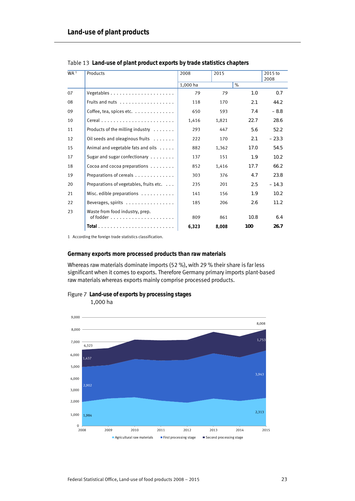| WA <sup>1</sup> | Products                                                                                 | 2008     | 2015  |      | 2015 to<br>2008 |
|-----------------|------------------------------------------------------------------------------------------|----------|-------|------|-----------------|
|                 |                                                                                          | 1,000 ha |       | $\%$ |                 |
| 07              |                                                                                          | 79       | 79    | 7.0  | 0.7             |
| 08              |                                                                                          | 118      | 170   | 2.1  | 44.2            |
| 09              | Coffee, tea, spices etc. $\dots \dots \dots \dots$                                       | 650      | 593   | 7.4  | $-8.8$          |
| 10              |                                                                                          | 1,416    | 1,821 | 22.7 | 28.6            |
| 11              | Products of the milling industry $\dots \dots$                                           | 293      | 447   | 5.6  | 52.2            |
| 12              | Oil seeds and oleaginous fruits                                                          | 222      | 170   | 2.1  | $-23.3$         |
| 15              | Animal and vegetable fats and oils                                                       | 882      | 1,362 | 17.0 | 54.5            |
| 17              | Sugar and sugar confectionary                                                            | 137      | 151   | 1.9  | 10.2            |
| 18              | Cocoa and cocoa preparations                                                             | 852      | 1,416 | 17.7 | 66.2            |
| 19              | Preparations of cereals                                                                  | 303      | 376   | 4.7  | 23.8            |
| 20              | Preparations of vegetables, fruits etc. $\dots$                                          | 235      | 201   | 2.5  | $-14.3$         |
| 21              | Misc. edible preparations                                                                | 141      | 156   | 1.9  | 10.2            |
| 22              | Beverages, spirits $\dots\dots\dots\dots\dots\dots$                                      | 185      | 206   | 2.6  | 11.2            |
| 23              | Waste from food industry, prep.<br>of fodder $\ldots \ldots \ldots \ldots \ldots \ldots$ | 809      | 861   | 10.8 | 6.4             |
|                 |                                                                                          | 6,323    | 8,008 | 100  | 26.7            |

Table 13 **Land-use of plant product exports by trade statistics chapters** 

1 According the foreign trade statistics classification.

#### **Germany exports more processed products than raw materials**

Whereas raw materials dominate imports (52 %), with 29 % their share is far less significant when it comes to exports. Therefore Germany primary imports plant-based raw materials whereas exports mainly comprise processed products.



1.000 1,000 2.000 2,000 3.000 3,000 4.000 4,000 5.000 5,000 6.000 6,000 7.000 7,000 8.000 8,000 9.000 9,000 8,008 1,984 2,313 2,902 3,943 1,437 1,753 6,323  $\mathbf 0$ 2008 2009 2010 2011 2012 2013 2014 2015  $\blacksquare$  Agricultural raw materials  $\blacksquare$  First processing stage  $\blacksquare$  Second processing stage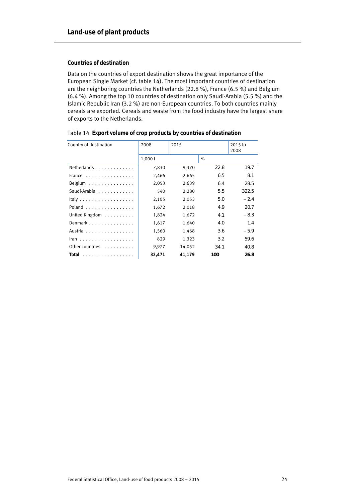#### **Countries of destination**

Data on the countries of export destination shows the great importance of the European Single Market (cf. table 14). The most important countries of destination are the neighboring countries the Netherlands (22.8 %), France (6.5 %) and Belgium (6.4 %). Among the top 10 countries of destination only Saudi-Arabia (5.5 %) and the Islamic Republic Iran (3.2 %) are non-European countries. To both countries mainly cereals are exported. Cereals and waste from the food industry have the largest share of exports to the Netherlands.

| Country of destination                           | 2008   | 2015   |      | 2015 to<br>2008 |
|--------------------------------------------------|--------|--------|------|-----------------|
|                                                  | 1,000t |        | $\%$ |                 |
| Netherlands                                      | 7,830  | 9,370  | 22.8 | 19.7            |
| France $\ldots$ , $\ldots$ , $\ldots$ , $\ldots$ | 2,466  | 2,665  | 6.5  | 8.1             |
| Belgium                                          | 2,053  | 2,639  | 6.4  | 28.5            |
| Saudi-Arabia                                     | 540    | 2,280  | 5.5  | 322.5           |
|                                                  | 2,105  | 2,053  | 5.0  | $-2.4$          |
| Poland                                           | 1,672  | 2,018  | 4.9  | 20.7            |
| United Kingdom                                   | 1,824  | 1,672  | 4.1  | $-8.3$          |
| Denmark                                          | 1,617  | 1,640  | 4.0  | 1.4             |
| Austria                                          | 1,560  | 1,468  | 3.6  | $-5.9$          |
| Iran                                             | 829    | 1,323  | 3.2  | 59.6            |
| Other countries                                  | 9,977  | 14,052 | 34.1 | 40.8            |
| Total                                            | 32.471 | 41.179 | 100  | 26.8            |

|  |  |  | Table 14 Export volume of crop products by countries of destination |
|--|--|--|---------------------------------------------------------------------|
|--|--|--|---------------------------------------------------------------------|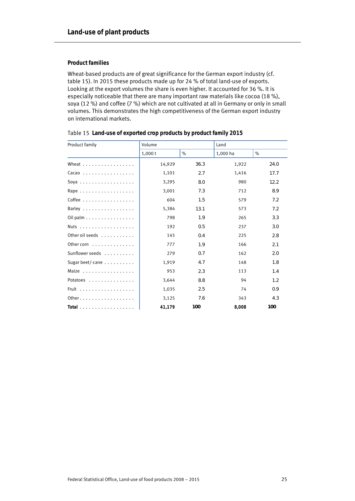#### **Product families**

Wheat-based products are of great significance for the German export industry (cf. table 15). In 2015 these products made up for 24 % of total land-use of exports. Looking at the export volumes the share is even higher. It accounted for 36 %. It is especially noticeable that there are many important raw materials like cocoa (18 %), soya (12 %) and coffee (7 %) which are not cultivated at all in Germany or only in small volumes. This demonstrates the high competitiveness of the German export industry on international markets.

| Product family                                  | Volume |      |          | Land |  |
|-------------------------------------------------|--------|------|----------|------|--|
|                                                 | 1,000t | $\%$ | 1,000 ha | $\%$ |  |
| Wheat $\ldots$ , $\ldots$ , $\ldots$ , $\ldots$ | 14,929 | 36.3 | 1,922    | 24.0 |  |
| $Cacao$                                         | 1,101  | 2.7  | 1,416    | 17.7 |  |
| Soya                                            | 3,295  | 8.0  | 980      | 12.2 |  |
| Rape                                            | 3,001  | 7.3  | 712      | 8.9  |  |
| Coffee                                          | 604    | 1.5  | 579      | 7.2  |  |
| Barley                                          | 5,384  | 13.1 | 573      | 7.2  |  |
| Oil palm                                        | 798    | 1.9  | 265      | 3.3  |  |
| Nuts                                            | 192    | 0.5  | 237      | 3.0  |  |
| Other oil seeds                                 | 145    | 0.4  | 225      | 2.8  |  |
| Other corn $\ldots$                             | 777    | 1.9  | 166      | 2.1  |  |
| Sunflower seeds                                 | 279    | 0.7  | 162      | 2.0  |  |
| Sugar beet/-cane $\ldots \ldots \ldots$         | 1,919  | 4.7  | 148      | 7.8  |  |
|                                                 | 953    | 2.3  | 113      | 1.4  |  |
| Potatoes                                        | 3,644  | 8.8  | 94       | 1.2  |  |
| Fruit $\ldots \ldots \ldots \ldots$             | 1,035  | 2.5  | 74       | 0.9  |  |
| Other.                                          | 3,125  | 7.6  | 343      | 4.3  |  |
| Total                                           | 41.179 | 100  | 8.008    | 100  |  |

| Table 15 Land-use of exported crop products by product family 2015 |  |  |  |  |
|--------------------------------------------------------------------|--|--|--|--|
|--------------------------------------------------------------------|--|--|--|--|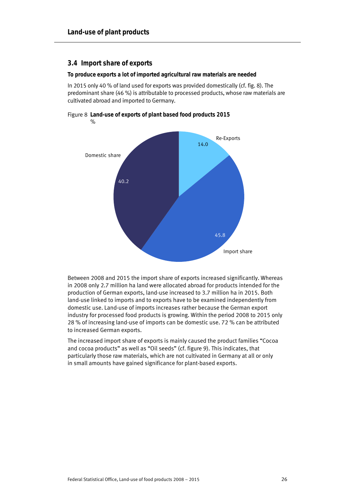#### **3.4 Import share of exports**

**To produce exports a lot of imported agricultural raw materials are needed** 

In 2015 only 40 % of land used for exports was provided domestically (cf. fig. 8). The predominant share (46 %) is attributable to processed products, whose raw materials are cultivated abroad and imported to Germany.

Figure 8 **Land-use of exports of plant based food products 2015**   $\frac{9}{6}$ 



Between 2008 and 2015 the import share of exports increased significantly. Whereas in 2008 only 2.7 million ha land were allocated abroad for products intended for the production of German exports, land-use increased to 3.7 million ha in 2015. Both land-use linked to imports and to exports have to be examined independently from domestic use. Land-use of imports increases rather because the German export industry for processed food products is growing. Within the period 2008 to 2015 only 28 % of increasing land-use of imports can be domestic use. 72 % can be attributed to increased German exports.

The increased import share of exports is mainly caused the product families "Cocoa and cocoa products" as well as "Oil seeds" (cf. figure 9). This indicates, that particularly those raw materials, which are not cultivated in Germany at all or only in small amounts have gained significance for plant-based exports.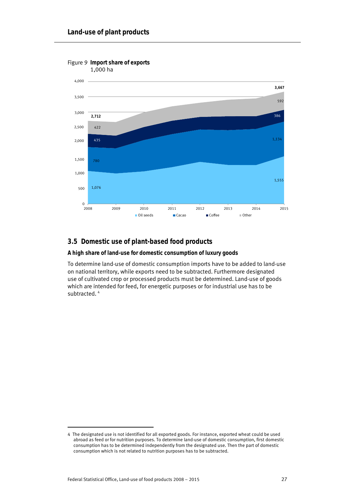

# **3.5 Domestic use of plant-based food products**

# **A high share of land-use for domestic consumption of luxury goods**

To determine land-use of domestic consumption imports have to be added to land-use on national territory, while exports need to be subtracted. Furthermore designated use of cultivated crop or processed products must be determined. Land-use of goods which are intended for feed, for energetic purposes or for industrial use has to be subtracted.<sup>4</sup>

j

<sup>4</sup> The designated use is not identified for all exported goods. For instance, exported wheat could be used abroad as feed or for nutrition purposes. To determine land-use of domestic consumption, first domestic consumption has to be determined independently from the designated use. Then the part of domestic consumption which is not related to nutrition purposes has to be subtracted.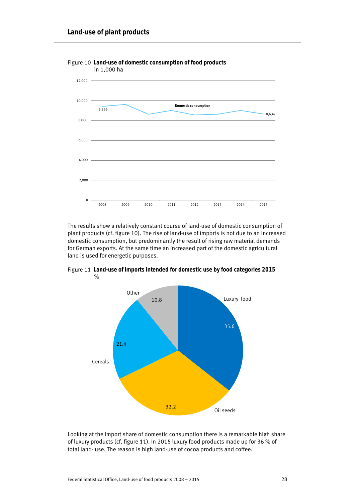

Figure 10 **Land-use of domestic consumption of food products** 

The results show a relatively constant course of land-use of domestic consumption of plant products (cf. figure 10). The rise of land-use of imports is not due to an increased domestic consumption, but predominantly the result of rising raw material demands for German exports. At the same time an increased part of the domestic agricultural land is used for energetic purposes.



Figure 11 **Land-use of imports intended for domestic use by food categories 2015**  %

Looking at the import share of domestic consumption there is a remarkable high share of luxury products (cf. figure 11). In 2015 luxury food products made up for 36 % of total land- use. The reason is high land-use of cocoa products and coffee.